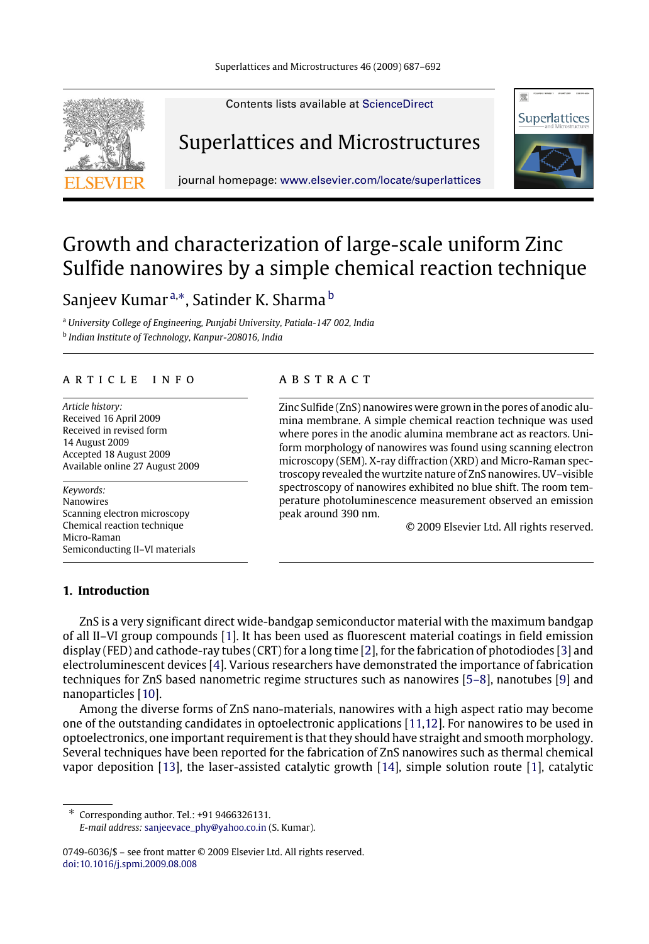

Contents lists available at [ScienceDirect](http://www.elsevier.com/locate/superlattices)

## Superlattices and Microstructures



journal homepage: [www.elsevier.com/locate/superlattices](http://www.elsevier.com/locate/superlattices)

# Growth and characterization of large-scale uniform Zinc Sulfide nanowires by a simple chemical reaction technique

Sanjeev Kumar™<sup>[a,](#page-0-0)[∗](#page-0-1)</sup>, Satinder K. Sharma <sup>[b](#page-0-2)</sup>

<span id="page-0-2"></span><span id="page-0-0"></span><sup>a</sup> *University College of Engineering, Punjabi University, Patiala-147 002, India* b *Indian Institute of Technology, Kanpur-208016, India*

#### a r t i c l e i n f o

*Article history:* Received 16 April 2009 Received in revised form 14 August 2009 Accepted 18 August 2009 Available online 27 August 2009

*Keywords:* Nanowires Scanning electron microscopy Chemical reaction technique Micro-Raman Semiconducting II–VI materials

#### A B S T R A C T

Zinc Sulfide (ZnS) nanowires were grown in the pores of anodic alumina membrane. A simple chemical reaction technique was used where pores in the anodic alumina membrane act as reactors. Uniform morphology of nanowires was found using scanning electron microscopy (SEM). X-ray diffraction (XRD) and Micro-Raman spectroscopy revealed the wurtzite nature of ZnS nanowires. UV–visible spectroscopy of nanowires exhibited no blue shift. The room temperature photoluminescence measurement observed an emission peak around 390 nm.

© 2009 Elsevier Ltd. All rights reserved.

### **1. Introduction**

ZnS is a very significant direct wide-bandgap semiconductor material with the maximum bandgap of all II–VI group compounds [\[1\]](#page-5-0). It has been used as fluorescent material coatings in field emission display (FED) and cathode-ray tubes (CRT) for a long time [\[2\]](#page-5-1), for the fabrication of photodiodes [\[3\]](#page-5-2) and electroluminescent devices [\[4\]](#page-5-3). Various researchers have demonstrated the importance of fabrication techniques for ZnS based nanometric regime structures such as nanowires [\[5–8\]](#page-5-4), nanotubes [\[9\]](#page-5-5) and nanoparticles [\[10\]](#page-5-6).

Among the diverse forms of ZnS nano-materials, nanowires with a high aspect ratio may become one of the outstanding candidates in optoelectronic applications [\[11](#page-5-7)[,12\]](#page-5-8). For nanowires to be used in optoelectronics, one important requirement is that they should have straight and smooth morphology. Several techniques have been reported for the fabrication of ZnS nanowires such as thermal chemical vapor deposition [\[13\]](#page-5-9), the laser-assisted catalytic growth [\[14\]](#page-5-10), simple solution route [\[1\]](#page-5-0), catalytic

<span id="page-0-1"></span>∗ Corresponding author. Tel.: +91 9466326131. *E-mail address:* [sanjeevace\\_phy@yahoo.co.in](mailto:sanjeevace_phy@yahoo.co.in) (S. Kumar).

0749-6036/\$ – see front matter © 2009 Elsevier Ltd. All rights reserved. [doi:10.1016/j.spmi.2009.08.008](http://dx.doi.org/10.1016/j.spmi.2009.08.008)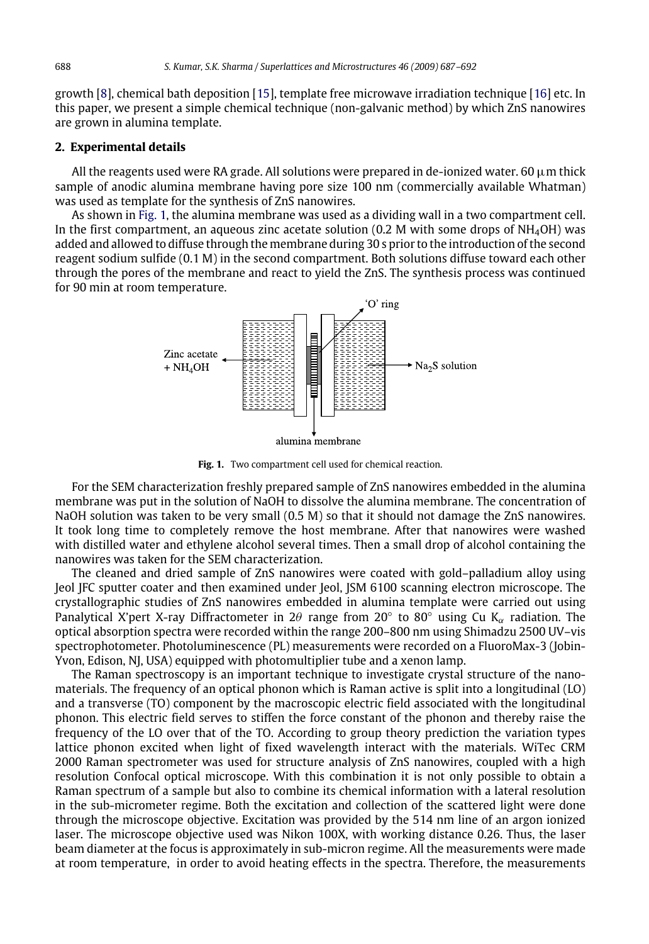growth [\[8\]](#page-5-11), chemical bath deposition [\[15\]](#page-5-12), template free microwave irradiation technique [\[16\]](#page-5-13) etc. In this paper, we present a simple chemical technique (non-galvanic method) by which ZnS nanowires are grown in alumina template.

#### **2. Experimental details**

All the reagents used were RA grade. All solutions were prepared in de-ionized water. 60  $\mu$ m thick sample of anodic alumina membrane having pore size 100 nm (commercially available Whatman) was used as template for the synthesis of ZnS nanowires.

<span id="page-1-0"></span>As shown in [Fig. 1,](#page-1-0) the alumina membrane was used as a dividing wall in a two compartment cell. In the first compartment, an aqueous zinc acetate solution (0.2 M with some drops of  $NH<sub>4</sub>OH$ ) was added and allowed to diffuse through the membrane during 30 s prior to the introduction of the second reagent sodium sulfide (0.1 M) in the second compartment. Both solutions diffuse toward each other through the pores of the membrane and react to yield the ZnS. The synthesis process was continued for 90 min at room temperature.



**Fig. 1.** Two compartment cell used for chemical reaction.

For the SEM characterization freshly prepared sample of ZnS nanowires embedded in the alumina membrane was put in the solution of NaOH to dissolve the alumina membrane. The concentration of NaOH solution was taken to be very small (0.5 M) so that it should not damage the ZnS nanowires. It took long time to completely remove the host membrane. After that nanowires were washed with distilled water and ethylene alcohol several times. Then a small drop of alcohol containing the nanowires was taken for the SEM characterization.

The cleaned and dried sample of ZnS nanowires were coated with gold–palladium alloy using Jeol JFC sputter coater and then examined under Jeol, JSM 6100 scanning electron microscope. The crystallographic studies of ZnS nanowires embedded in alumina template were carried out using Panalytical X'pert X-ray Diffractometer in 2 $\theta$  range from 20° to 80° using Cu K<sub>α</sub> radiation. The optical absorption spectra were recorded within the range 200–800 nm using Shimadzu 2500 UV–vis spectrophotometer. Photoluminescence (PL) measurements were recorded on a FluoroMax-3 (Jobin-Yvon, Edison, NJ, USA) equipped with photomultiplier tube and a xenon lamp.

The Raman spectroscopy is an important technique to investigate crystal structure of the nanomaterials. The frequency of an optical phonon which is Raman active is split into a longitudinal (LO) and a transverse (TO) component by the macroscopic electric field associated with the longitudinal phonon. This electric field serves to stiffen the force constant of the phonon and thereby raise the frequency of the LO over that of the TO. According to group theory prediction the variation types lattice phonon excited when light of fixed wavelength interact with the materials. WiTec CRM 2000 Raman spectrometer was used for structure analysis of ZnS nanowires, coupled with a high resolution Confocal optical microscope. With this combination it is not only possible to obtain a Raman spectrum of a sample but also to combine its chemical information with a lateral resolution in the sub-micrometer regime. Both the excitation and collection of the scattered light were done through the microscope objective. Excitation was provided by the 514 nm line of an argon ionized laser. The microscope objective used was Nikon 100X, with working distance 0.26. Thus, the laser beam diameter at the focus is approximately in sub-micron regime. All the measurements were made at room temperature, in order to avoid heating effects in the spectra. Therefore, the measurements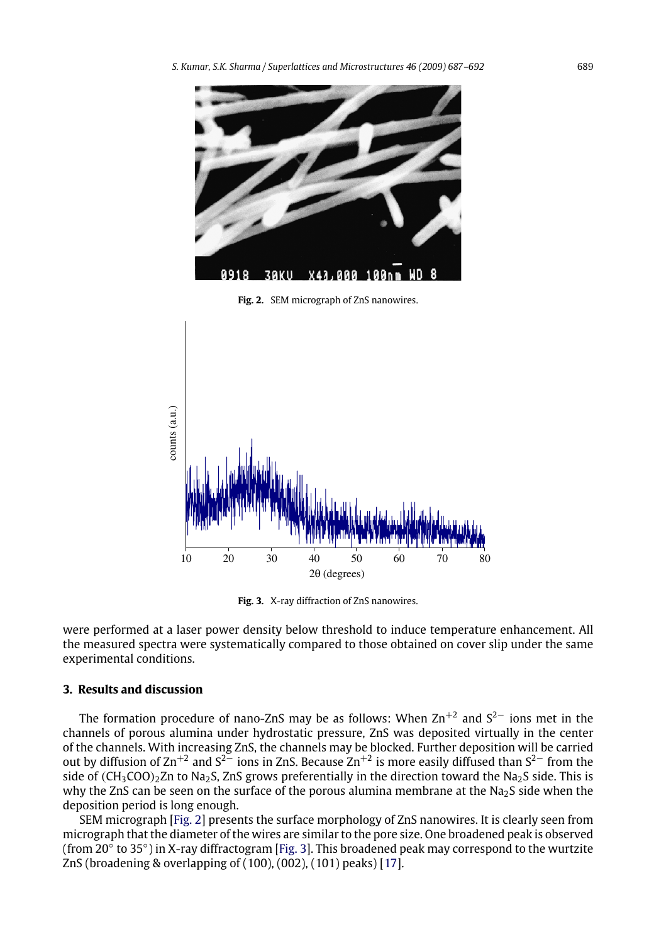<span id="page-2-0"></span>

**Fig. 2.** SEM micrograph of ZnS nanowires.

<span id="page-2-1"></span>

**Fig. 3.** X-ray diffraction of ZnS nanowires.

were performed at a laser power density below threshold to induce temperature enhancement. All the measured spectra were systematically compared to those obtained on cover slip under the same experimental conditions.

#### **3. Results and discussion**

The formation procedure of nano-ZnS may be as follows: When  $\text{Zn}^{+2}$  and  $\text{S}^{2-}$  ions met in the channels of porous alumina under hydrostatic pressure, ZnS was deposited virtually in the center of the channels. With increasing ZnS, the channels may be blocked. Further deposition will be carried out by diffusion of Zn<sup>+2</sup> and S<sup>2-</sup> ions in ZnS. Because  $Zn^{+2}$  is more easily diffused than S<sup>2-</sup> from the side of  $(CH_3COO)_2Zn$  to Na<sub>2</sub>S, ZnS grows preferentially in the direction toward the Na<sub>2</sub>S side. This is why the ZnS can be seen on the surface of the porous alumina membrane at the Na<sub>2</sub>S side when the deposition period is long enough.

SEM micrograph [\[Fig. 2\]](#page-2-0) presents the surface morphology of ZnS nanowires. It is clearly seen from micrograph that the diameter of the wires are similar to the pore size. One broadened peak is observed (from 20◦ to 35◦ ) in X-ray diffractogram [\[Fig. 3\]](#page-2-1). This broadened peak may correspond to the wurtzite ZnS (broadening & overlapping of (100), (002), (101) peaks) [\[17\]](#page-5-14).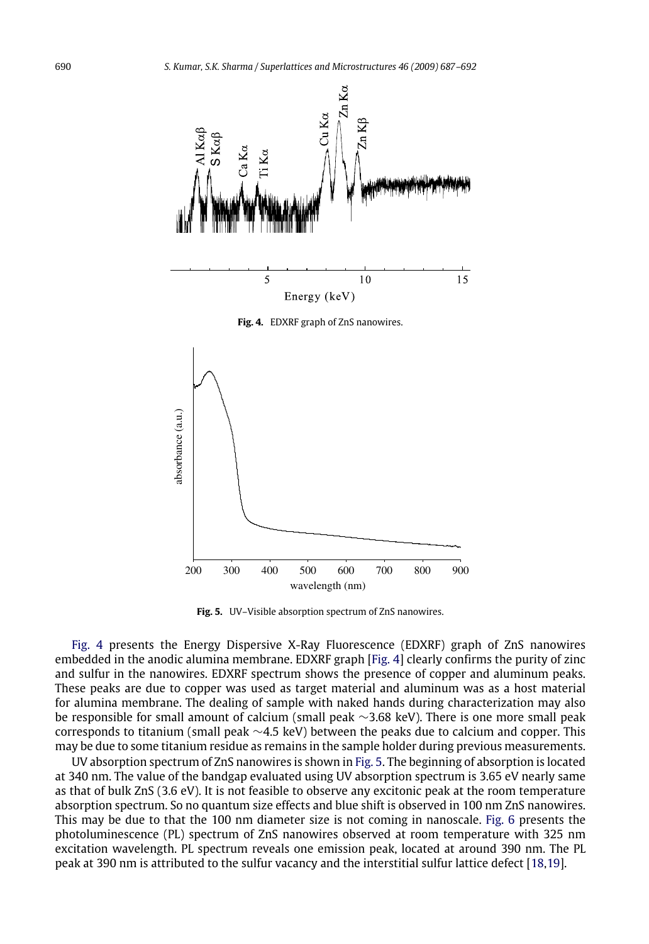<span id="page-3-0"></span>

**Fig. 5.** UV–Visible absorption spectrum of ZnS nanowires.

<span id="page-3-1"></span>[Fig. 4](#page-3-0) presents the Energy Dispersive X-Ray Fluorescence (EDXRF) graph of ZnS nanowires embedded in the anodic alumina membrane. EDXRF graph [\[Fig. 4\]](#page-3-0) clearly confirms the purity of zinc and sulfur in the nanowires. EDXRF spectrum shows the presence of copper and aluminum peaks. These peaks are due to copper was used as target material and aluminum was as a host material for alumina membrane. The dealing of sample with naked hands during characterization may also be responsible for small amount of calcium (small peak ∼3.68 keV). There is one more small peak corresponds to titanium (small peak  $\sim$ 4.5 keV) between the peaks due to calcium and copper. This may be due to some titanium residue as remains in the sample holder during previous measurements.

UV absorption spectrum of ZnS nanowires is shown in [Fig. 5.](#page-3-1) The beginning of absorption is located at 340 nm. The value of the bandgap evaluated using UV absorption spectrum is 3.65 eV nearly same as that of bulk ZnS (3.6 eV). It is not feasible to observe any excitonic peak at the room temperature absorption spectrum. So no quantum size effects and blue shift is observed in 100 nm ZnS nanowires. This may be due to that the 100 nm diameter size is not coming in nanoscale. [Fig. 6](#page-4-0) presents the photoluminescence (PL) spectrum of ZnS nanowires observed at room temperature with 325 nm excitation wavelength. PL spectrum reveals one emission peak, located at around 390 nm. The PL peak at 390 nm is attributed to the sulfur vacancy and the interstitial sulfur lattice defect [\[18](#page-5-15)[,19\]](#page-5-16).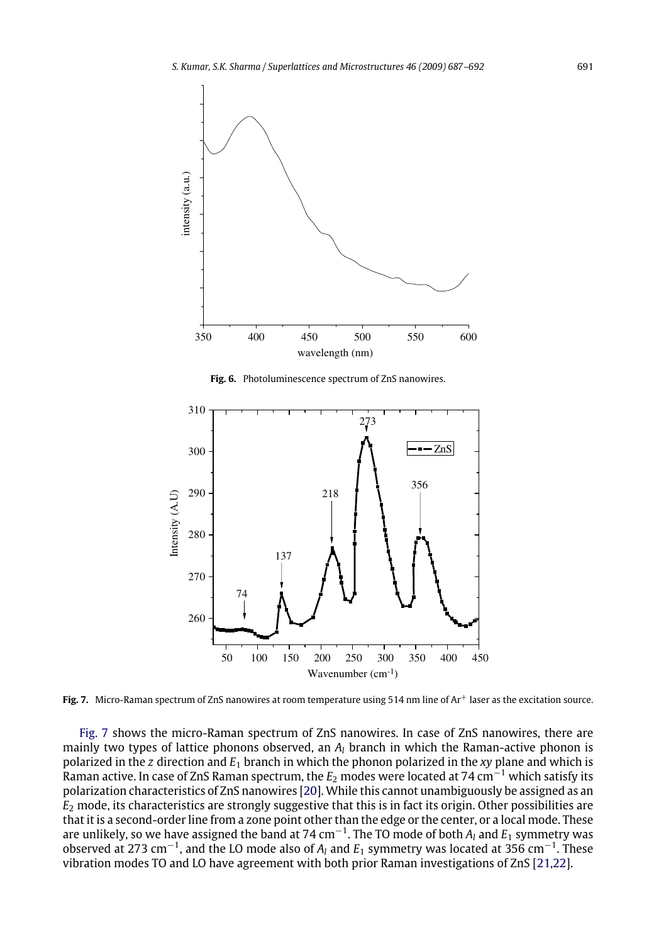<span id="page-4-0"></span>

**Fig. 6.** Photoluminescence spectrum of ZnS nanowires.

<span id="page-4-1"></span>

**Fig. 7.** Micro-Raman spectrum of ZnS nanowires at room temperature using 514 nm line of Ar<sup>+</sup> laser as the excitation source.

[Fig. 7](#page-4-1) shows the micro-Raman spectrum of ZnS nanowires. In case of ZnS nanowires, there are mainly two types of lattice phonons observed, an *A<sup>l</sup>* branch in which the Raman-active phonon is polarized in the *z* direction and *E*<sup>1</sup> branch in which the phonon polarized in the *xy* plane and which is Raman active. In case of ZnS Raman spectrum, the *<sup>E</sup>*<sup>2</sup> modes were located at 74 cm−<sup>1</sup> which satisfy its polarization characteristics of ZnS nanowires [\[20\]](#page-5-17). While this cannot unambiguously be assigned as an *E*<sup>2</sup> mode, its characteristics are strongly suggestive that this is in fact its origin. Other possibilities are that it is a second-order line from a zone point other than the edge or the center, or a local mode. These are unlikely, so we have assigned the band at 74 cm−<sup>1</sup> . The TO mode of both *A<sup>l</sup>* and *E*<sup>1</sup> symmetry was observed at 273 cm−<sup>1</sup> , and the LO mode also of *<sup>A</sup><sup>l</sup>* and *<sup>E</sup>*<sup>1</sup> symmetry was located at 356 cm−<sup>1</sup> . These vibration modes TO and LO have agreement with both prior Raman investigations of ZnS [\[21,](#page-5-18)[22\]](#page-5-19).